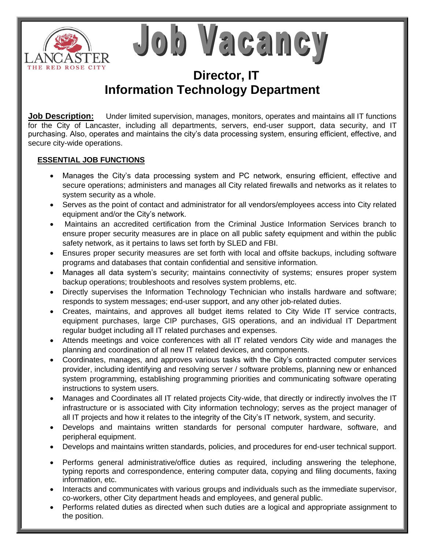

Job Vacancy

## **Director, IT Information Technology Department**

**Job Description:** Under limited supervision, manages, monitors, operates and maintains all IT functions for the City of Lancaster, including all departments, servers, end-user support, data security, and IT purchasing. Also, operates and maintains the city's data processing system, ensuring efficient, effective, and secure city-wide operations.

## **ESSENTIAL JOB FUNCTIONS**

- Manages the City's data processing system and PC network, ensuring efficient, effective and secure operations; administers and manages all City related firewalls and networks as it relates to system security as a whole.
- Serves as the point of contact and administrator for all vendors/employees access into City related equipment and/or the City's network.
- Maintains an accredited certification from the Criminal Justice Information Services branch to ensure proper security measures are in place on all public safety equipment and within the public safety network, as it pertains to laws set forth by SLED and FBI.
- Ensures proper security measures are set forth with local and offsite backups, including software programs and databases that contain confidential and sensitive information.
- Manages all data system's security; maintains connectivity of systems; ensures proper system backup operations; troubleshoots and resolves system problems, etc.
- Directly supervises the Information Technology Technician who installs hardware and software; responds to system messages; end-user support, and any other job-related duties.
- Creates, maintains, and approves all budget items related to City Wide IT service contracts, equipment purchases, large CIP purchases, GIS operations, and an individual IT Department regular budget including all IT related purchases and expenses.
- Attends meetings and voice conferences with all IT related vendors City wide and manages the planning and coordination of all new IT related devices, and components.
- Coordinates, manages, and approves various tasks with the City's contracted computer services provider, including identifying and resolving server / software problems, planning new or enhanced system programming, establishing programming priorities and communicating software operating instructions to system users.
- Manages and Coordinates all IT related projects City-wide, that directly or indirectly involves the IT infrastructure or is associated with City information technology; serves as the project manager of all IT projects and how it relates to the integrity of the City's IT network, system, and security.
- Develops and maintains written standards for personal computer hardware, software, and peripheral equipment.
- Develops and maintains written standards, policies, and procedures for end-user technical support.
- Performs general administrative/office duties as required, including answering the telephone, typing reports and correspondence, entering computer data, copying and filing documents, faxing information, etc.
- Interacts and communicates with various groups and individuals such as the immediate supervisor, co-workers, other City department heads and employees, and general public.
- Performs related duties as directed when such duties are a logical and appropriate assignment to the position.